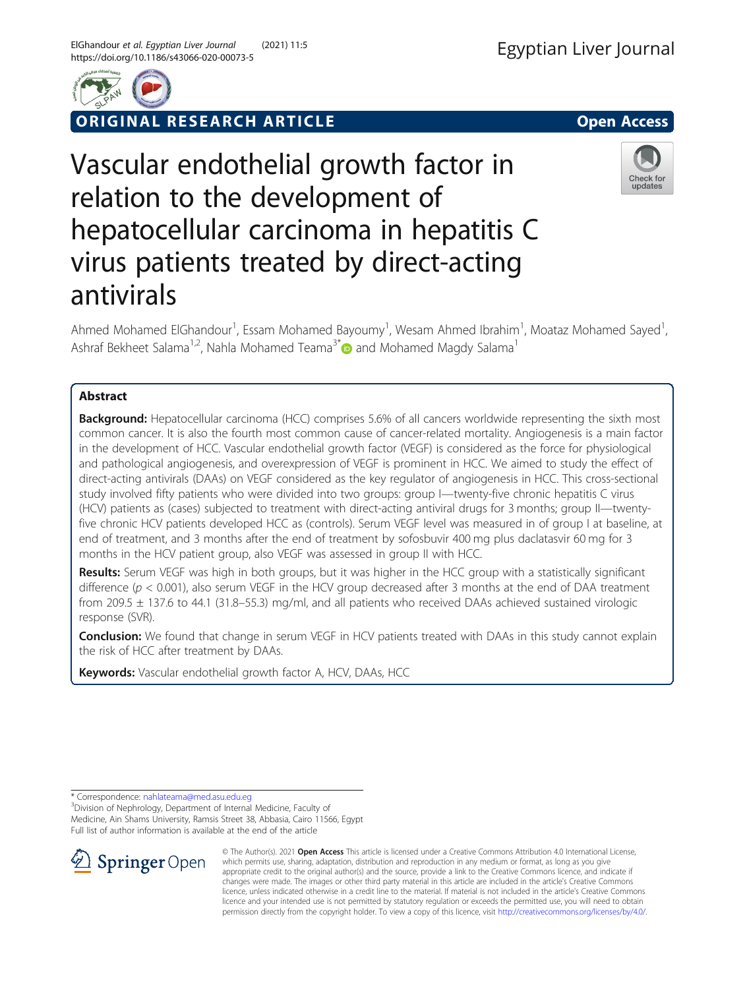



RIGINAL RESEARCH ARTICLE **External of the Contract Contract Contract Contract Contract Contract Contract Contract Contract Contract Contract Contract Contract Contract Contract Contract Contract Contract Contract Contract** 

# Vascular endothelial growth factor in relation to the development of hepatocellular carcinoma in hepatitis C virus patients treated by direct-acting antivirals



Ahmed Mohamed ElGhandour<sup>1</sup>, Essam Mohamed Bayoumy<sup>1</sup>, Wesam Ahmed Ibrahim<sup>1</sup>, Moataz Mohamed Sayed<sup>1</sup> , Ashraf Bekheet Salama<sup>1,2</sup>, Nahla Mohamed Teama<sup>3\*</sup> and Mohamed Magdy Salama<sup>1</sup>

# Abstract

**Background:** Hepatocellular carcinoma (HCC) comprises 5.6% of all cancers worldwide representing the sixth most common cancer. It is also the fourth most common cause of cancer-related mortality. Angiogenesis is a main factor in the development of HCC. Vascular endothelial growth factor (VEGF) is considered as the force for physiological and pathological angiogenesis, and overexpression of VEGF is prominent in HCC. We aimed to study the effect of direct-acting antivirals (DAAs) on VEGF considered as the key regulator of angiogenesis in HCC. This cross-sectional study involved fifty patients who were divided into two groups: group I—twenty-five chronic hepatitis C virus (HCV) patients as (cases) subjected to treatment with direct-acting antiviral drugs for 3 months; group II—twentyfive chronic HCV patients developed HCC as (controls). Serum VEGF level was measured in of group I at baseline, at end of treatment, and 3 months after the end of treatment by sofosbuvir 400 mg plus daclatasvir 60 mg for 3 months in the HCV patient group, also VEGF was assessed in group II with HCC.

Results: Serum VEGF was high in both groups, but it was higher in the HCC group with a statistically significant difference ( $p < 0.001$ ), also serum VEGF in the HCV group decreased after 3 months at the end of DAA treatment from 209.5 ± 137.6 to 44.1 (31.8–55.3) mg/ml, and all patients who received DAAs achieved sustained virologic response (SVR).

**Conclusion:** We found that change in serum VEGF in HCV patients treated with DAAs in this study cannot explain the risk of HCC after treatment by DAAs.

Keywords: Vascular endothelial growth factor A, HCV, DAAs, HCC

\* Correspondence: [nahlateama@med.asu.edu.eg](mailto:nahlateama@med.asu.edu.eg) <sup>3</sup>

<sup>3</sup> Division of Nephrology, Department of Internal Medicine, Faculty of Medicine, Ain Shams University, Ramsis Street 38, Abbasia, Cairo 11566, Egypt Full list of author information is available at the end of the article



© The Author(s). 2021 Open Access This article is licensed under a Creative Commons Attribution 4.0 International License, which permits use, sharing, adaptation, distribution and reproduction in any medium or format, as long as you give appropriate credit to the original author(s) and the source, provide a link to the Creative Commons licence, and indicate if changes were made. The images or other third party material in this article are included in the article's Creative Commons licence, unless indicated otherwise in a credit line to the material. If material is not included in the article's Creative Commons licence and your intended use is not permitted by statutory regulation or exceeds the permitted use, you will need to obtain permission directly from the copyright holder. To view a copy of this licence, visit <http://creativecommons.org/licenses/by/4.0/>.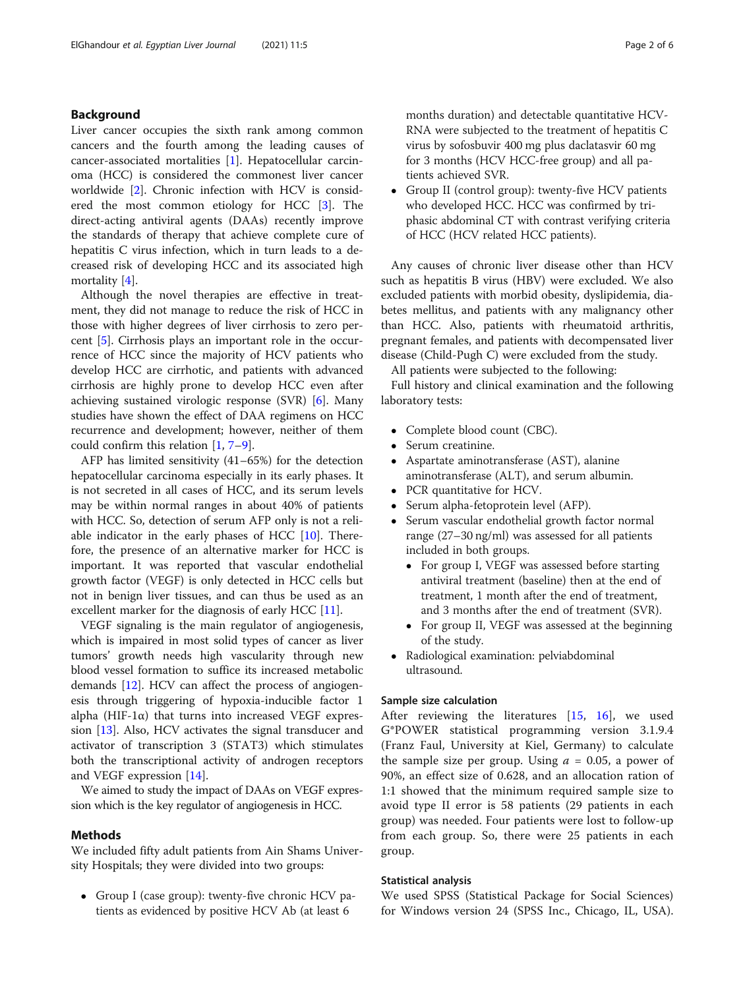# Background

Liver cancer occupies the sixth rank among common cancers and the fourth among the leading causes of cancer-associated mortalities [[1](#page-5-0)]. Hepatocellular carcinoma (HCC) is considered the commonest liver cancer worldwide [\[2](#page-5-0)]. Chronic infection with HCV is considered the most common etiology for HCC [\[3](#page-5-0)]. The direct-acting antiviral agents (DAAs) recently improve the standards of therapy that achieve complete cure of hepatitis C virus infection, which in turn leads to a decreased risk of developing HCC and its associated high mortality [[4\]](#page-5-0).

Although the novel therapies are effective in treatment, they did not manage to reduce the risk of HCC in those with higher degrees of liver cirrhosis to zero percent [[5\]](#page-5-0). Cirrhosis plays an important role in the occurrence of HCC since the majority of HCV patients who develop HCC are cirrhotic, and patients with advanced cirrhosis are highly prone to develop HCC even after achieving sustained virologic response (SVR) [[6\]](#page-5-0). Many studies have shown the effect of DAA regimens on HCC recurrence and development; however, neither of them could confirm this relation [[1](#page-5-0), [7](#page-5-0)–[9](#page-5-0)].

AFP has limited sensitivity (41–65%) for the detection hepatocellular carcinoma especially in its early phases. It is not secreted in all cases of HCC, and its serum levels may be within normal ranges in about 40% of patients with HCC. So, detection of serum AFP only is not a reliable indicator in the early phases of HCC [\[10](#page-5-0)]. Therefore, the presence of an alternative marker for HCC is important. It was reported that vascular endothelial growth factor (VEGF) is only detected in HCC cells but not in benign liver tissues, and can thus be used as an excellent marker for the diagnosis of early HCC [\[11\]](#page-5-0).

VEGF signaling is the main regulator of angiogenesis, which is impaired in most solid types of cancer as liver tumors' growth needs high vascularity through new blood vessel formation to suffice its increased metabolic demands [\[12](#page-5-0)]. HCV can affect the process of angiogenesis through triggering of hypoxia-inducible factor 1 alpha (HIF-1 $\alpha$ ) that turns into increased VEGF expression [\[13](#page-5-0)]. Also, HCV activates the signal transducer and activator of transcription 3 (STAT3) which stimulates both the transcriptional activity of androgen receptors and VEGF expression [[14](#page-5-0)].

We aimed to study the impact of DAAs on VEGF expression which is the key regulator of angiogenesis in HCC.

#### Methods

We included fifty adult patients from Ain Shams University Hospitals; they were divided into two groups:

• Group I (case group): twenty-five chronic HCV patients as evidenced by positive HCV Ab (at least 6

months duration) and detectable quantitative HCV-RNA were subjected to the treatment of hepatitis C virus by sofosbuvir 400 mg plus daclatasvir 60 mg for 3 months (HCV HCC-free group) and all patients achieved SVR.

 Group II (control group): twenty-five HCV patients who developed HCC. HCC was confirmed by triphasic abdominal CT with contrast verifying criteria of HCC (HCV related HCC patients).

Any causes of chronic liver disease other than HCV such as hepatitis B virus (HBV) were excluded. We also excluded patients with morbid obesity, dyslipidemia, diabetes mellitus, and patients with any malignancy other than HCC. Also, patients with rheumatoid arthritis, pregnant females, and patients with decompensated liver disease (Child-Pugh C) were excluded from the study.

All patients were subjected to the following:

Full history and clinical examination and the following laboratory tests:

- Complete blood count (CBC).
- Serum creatinine.
- Aspartate aminotransferase (AST), alanine aminotransferase (ALT), and serum albumin.
- PCR quantitative for HCV.
- Serum alpha-fetoprotein level (AFP).
- Serum vascular endothelial growth factor normal range (27–30 ng/ml) was assessed for all patients included in both groups.
	- For group I, VEGF was assessed before starting antiviral treatment (baseline) then at the end of treatment, 1 month after the end of treatment, and 3 months after the end of treatment (SVR).
	- For group II, VEGF was assessed at the beginning of the study.
- Radiological examination: pelviabdominal ultrasound.

#### Sample size calculation

After reviewing the literatures [\[15,](#page-5-0) [16\]](#page-5-0), we used G\*POWER statistical programming version 3.1.9.4 (Franz Faul, University at Kiel, Germany) to calculate the sample size per group. Using  $a = 0.05$ , a power of 90%, an effect size of 0.628, and an allocation ration of 1:1 showed that the minimum required sample size to avoid type II error is 58 patients (29 patients in each group) was needed. Four patients were lost to follow-up from each group. So, there were 25 patients in each group.

# Statistical analysis

We used SPSS (Statistical Package for Social Sciences) for Windows version 24 (SPSS Inc., Chicago, IL, USA).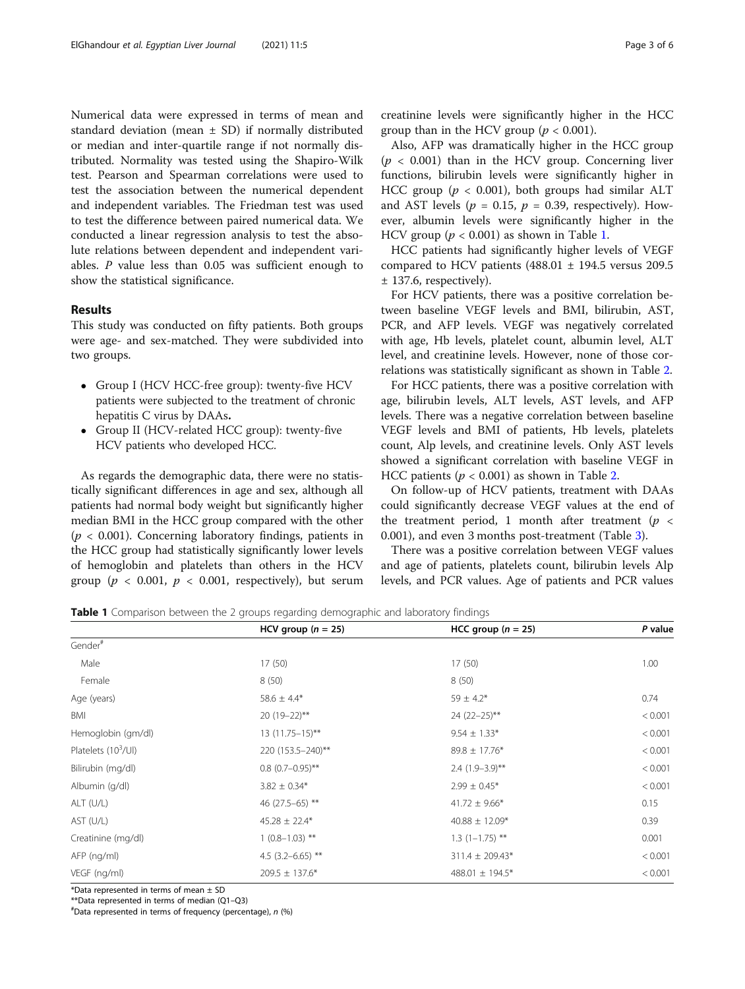Numerical data were expressed in terms of mean and standard deviation (mean  $\pm$  SD) if normally distributed or median and inter-quartile range if not normally distributed. Normality was tested using the Shapiro-Wilk test. Pearson and Spearman correlations were used to test the association between the numerical dependent and independent variables. The Friedman test was used to test the difference between paired numerical data. We conducted a linear regression analysis to test the absolute relations between dependent and independent variables. P value less than 0.05 was sufficient enough to show the statistical significance.

# Results

This study was conducted on fifty patients. Both groups were age- and sex-matched. They were subdivided into two groups.

- Group I (HCV HCC-free group): twenty-five HCV patients were subjected to the treatment of chronic hepatitis C virus by DAAs.
- Group II (HCV-related HCC group): twenty-five HCV patients who developed HCC.

As regards the demographic data, there were no statistically significant differences in age and sex, although all patients had normal body weight but significantly higher median BMI in the HCC group compared with the other  $(p < 0.001)$ . Concerning laboratory findings, patients in the HCC group had statistically significantly lower levels of hemoglobin and platelets than others in the HCV group ( $p < 0.001$ ,  $p < 0.001$ , respectively), but serum creatinine levels were significantly higher in the HCC group than in the HCV group ( $p < 0.001$ ).

Also, AFP was dramatically higher in the HCC group  $(p < 0.001)$  than in the HCV group. Concerning liver functions, bilirubin levels were significantly higher in HCC group ( $p < 0.001$ ), both groups had similar ALT and AST levels ( $p = 0.15$ ,  $p = 0.39$ , respectively). However, albumin levels were significantly higher in the HCV group ( $p < 0.001$ ) as shown in Table 1.

HCC patients had significantly higher levels of VEGF compared to HCV patients (488.01  $\pm$  194.5 versus 209.5 ± 137.6, respectively).

For HCV patients, there was a positive correlation between baseline VEGF levels and BMI, bilirubin, AST, PCR, and AFP levels. VEGF was negatively correlated with age, Hb levels, platelet count, albumin level, ALT level, and creatinine levels. However, none of those correlations was statistically significant as shown in Table [2.](#page-3-0)

For HCC patients, there was a positive correlation with age, bilirubin levels, ALT levels, AST levels, and AFP levels. There was a negative correlation between baseline VEGF levels and BMI of patients, Hb levels, platelets count, Alp levels, and creatinine levels. Only AST levels showed a significant correlation with baseline VEGF in HCC patients ( $p < 0.001$ ) as shown in Table [2](#page-3-0).

On follow-up of HCV patients, treatment with DAAs could significantly decrease VEGF values at the end of the treatment period, 1 month after treatment ( $p \lt \theta$ 0.001), and even 3 months post-treatment (Table [3\)](#page-3-0).

There was a positive correlation between VEGF values and age of patients, platelets count, bilirubin levels Alp levels, and PCR values. Age of patients and PCR values

**Table 1** Comparison between the 2 groups regarding demographic and laboratory findings

|                                 | HCV group $(n = 25)$  | HCC group $(n = 25)$ | P value |
|---------------------------------|-----------------------|----------------------|---------|
| Gender#                         |                       |                      |         |
| Male                            | 17(50)                | 17(50)               | 1.00    |
| Female                          | 8(50)                 | 8(50)                |         |
| Age (years)                     | $58.6 \pm 4.4*$       | $59 \pm 4.2*$        | 0.74    |
| BMI                             | 20 (19-22)**          | $24(22-25)$ **       | < 0.001 |
| Hemoglobin (gm/dl)              | $13(11.75-15)$ **     | $9.54 \pm 1.33*$     | < 0.001 |
| Platelets (10 <sup>3</sup> /UI) | 220 (153.5 - 240)**   | $89.8 \pm 17.76*$    | < 0.001 |
| Bilirubin (mg/dl)               | $0.8(0.7-0.95)$ **    | $2.4$ (1.9-3.9)**    | < 0.001 |
| Albumin (g/dl)                  | $3.82 \pm 0.34*$      | $2.99 \pm 0.45*$     | < 0.001 |
| $ALT$ (U/L)                     | 46 (27.5-65) **       | $41.72 \pm 9.66*$    | 0.15    |
| AST (U/L)                       | $45.28 \pm 22.4*$     | $40.88 \pm 12.09*$   | 0.39    |
| Creatinine (mg/dl)              | $1(0.8-1.03)$ **      | $1.3(1-1.75)$ **     | 0.001   |
| AFP (ng/ml)                     | 4.5 $(3.2 - 6.65)$ ** | $311.4 \pm 209.43*$  | < 0.001 |
| VEGF (ng/ml)                    | $209.5 \pm 137.6*$    | 488.01 $\pm$ 194.5*  | < 0.001 |

\*Data represented in terms of mean  $\pm$  SD

\*\*Data represented in terms of median (Q1–Q3) #

Data represented in terms of frequency (percentage), n (%)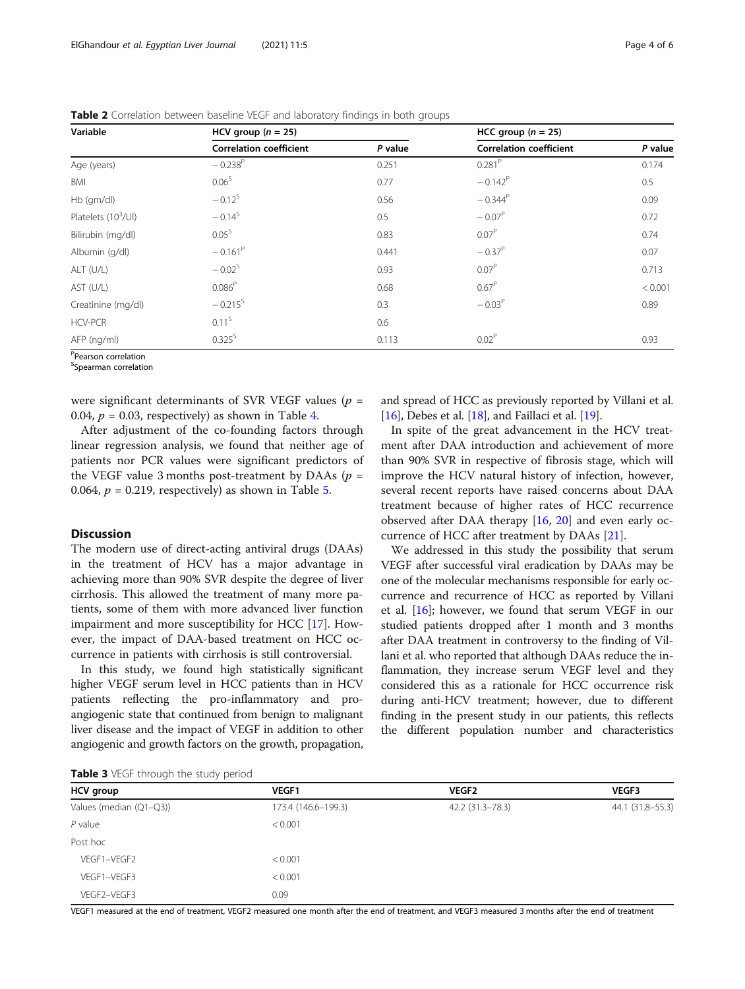| Variable               | HCV group $(n = 25)$           |         |                                | HCC group $(n = 25)$ |  |
|------------------------|--------------------------------|---------|--------------------------------|----------------------|--|
|                        | <b>Correlation coefficient</b> | P value | <b>Correlation coefficient</b> | P value              |  |
| Age (years)            | $-0.238^{P}$                   | 0.251   | $0.281$ <sup>P</sup>           | 0.174                |  |
| BMI                    | 0.06 <sup>S</sup>              | 0.77    | $-0.142^{P}$                   | 0.5                  |  |
| Hb (gm/dl)             | $-0.12^{5}$                    | 0.56    | $-0.344^P$                     | 0.09                 |  |
| Platelets $(10^3$ /Ul) | $-0.14^{5}$                    | 0.5     | $-0.07^P$                      | 0.72                 |  |
| Bilirubin (mg/dl)      | $0.05^{\rm S}$                 | 0.83    | $0.07^P$                       | 0.74                 |  |
| Albumin (g/dl)         | $-0.161^P$                     | 0.441   | $-0.37^P$                      | 0.07                 |  |
| ALT (U/L)              | $-0.02^{\rm S}$                | 0.93    | 0.07 <sup>P</sup>              | 0.713                |  |
| AST (U/L)              | 0.086 <sup>P</sup>             | 0.68    | $0.67^P$                       | < 0.001              |  |
| Creatinine (mg/dl)     | $-0.215^{5}$                   | 0.3     | $-0.03^{P}$                    | 0.89                 |  |
| <b>HCV-PCR</b>         | 0.11 <sup>S</sup>              | 0.6     |                                |                      |  |
| AFP (ng/ml)            | $0.325^{S}$                    | 0.113   | 0.02 <sup>P</sup>              | 0.93                 |  |

<span id="page-3-0"></span>Table 2 Correlation between baseline VEGF and laboratory findings in both groups

P Pearson correlation

<sup>S</sup>Spearman correlation

were significant determinants of SVR VEGF values ( $p =$ 0.0[4](#page-4-0),  $p = 0.03$ , respectively) as shown in Table 4.

After adjustment of the co-founding factors through linear regression analysis, we found that neither age of patients nor PCR values were significant predictors of the VEGF value 3 months post-treatment by DAAs ( $p =$ 0.064,  $p = 0.219$ , respectively) as shown in Table [5](#page-4-0).

## **Discussion**

The modern use of direct-acting antiviral drugs (DAAs) in the treatment of HCV has a major advantage in achieving more than 90% SVR despite the degree of liver cirrhosis. This allowed the treatment of many more patients, some of them with more advanced liver function impairment and more susceptibility for HCC [\[17\]](#page-5-0). However, the impact of DAA-based treatment on HCC occurrence in patients with cirrhosis is still controversial.

In this study, we found high statistically significant higher VEGF serum level in HCC patients than in HCV patients reflecting the pro-inflammatory and proangiogenic state that continued from benign to malignant liver disease and the impact of VEGF in addition to other angiogenic and growth factors on the growth, propagation,

and spread of HCC as previously reported by Villani et al. [[16](#page-5-0)], Debes et al. [[18](#page-5-0)], and Faillaci et al. [[19](#page-5-0)].

In spite of the great advancement in the HCV treatment after DAA introduction and achievement of more than 90% SVR in respective of fibrosis stage, which will improve the HCV natural history of infection, however, several recent reports have raised concerns about DAA treatment because of higher rates of HCC recurrence observed after DAA therapy [[16,](#page-5-0) [20](#page-5-0)] and even early occurrence of HCC after treatment by DAAs [[21\]](#page-5-0).

We addressed in this study the possibility that serum VEGF after successful viral eradication by DAAs may be one of the molecular mechanisms responsible for early occurrence and recurrence of HCC as reported by Villani et al. [[16](#page-5-0)]; however, we found that serum VEGF in our studied patients dropped after 1 month and 3 months after DAA treatment in controversy to the finding of Villani et al. who reported that although DAAs reduce the inflammation, they increase serum VEGF level and they considered this as a rationale for HCC occurrence risk during anti-HCV treatment; however, due to different finding in the present study in our patients, this reflects the different population number and characteristics

Table 3 VFGF through the study period

| <b>TWART &amp; TECK CHICAGO CHIC SCAGO</b> POINT OF |                     |                  |                  |  |
|-----------------------------------------------------|---------------------|------------------|------------------|--|
| <b>HCV</b> group                                    | <b>VEGF1</b>        | <b>VEGF2</b>     | <b>VEGF3</b>     |  |
| Values (median (Q1-Q3))                             | 173.4 (146.6-199.3) | 42.2 (31.3-78.3) | 44.1 (31.8-55.3) |  |
| $P$ value                                           | < 0.001             |                  |                  |  |
| Post hoc                                            |                     |                  |                  |  |
| VEGF1-VEGF2                                         | < 0.001             |                  |                  |  |
| VEGF1-VEGF3                                         | < 0.001             |                  |                  |  |
| VEGF2-VEGF3                                         | 0.09                |                  |                  |  |
|                                                     |                     |                  |                  |  |

VEGF1 measured at the end of treatment, VEGF2 measured one month after the end of treatment, and VEGF3 measured 3 months after the end of treatment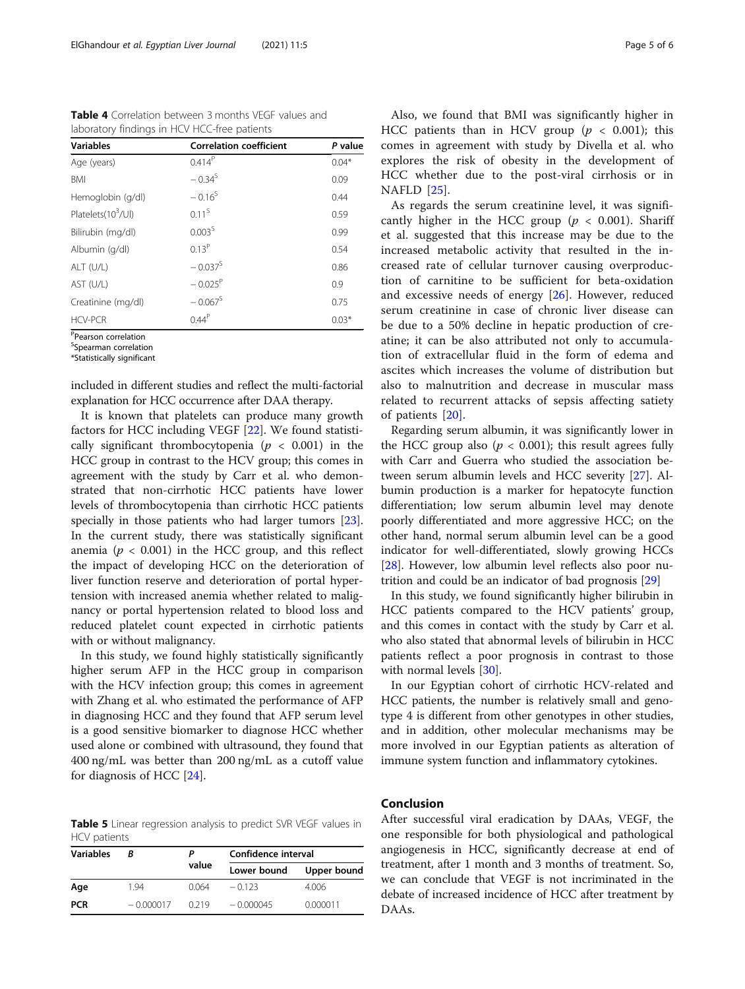<span id="page-4-0"></span>Table 4 Correlation between 3 months VEGF values and laboratory findings in HCV HCC-free patients

| <b>Variables</b>               | <b>Correlation coefficient</b> | P value |
|--------------------------------|--------------------------------|---------|
| Age (years)                    | $0.414^{P}$                    | $0.04*$ |
| BMI                            | $-0.34^{5}$                    | 0.09    |
| Hemoglobin (g/dl)              | $-0.16^{5}$                    | 0.44    |
| Platelets(10 <sup>3</sup> /Ul) | $0.11^{5}$                     | 0.59    |
| Bilirubin (mg/dl)              | 0.003 <sup>S</sup>             | 0.99    |
| Albumin (g/dl)                 | $0.13^{P}$                     | 0.54    |
| ALT (U/L)                      | $-0.037^{5}$                   | 0.86    |
| AST (U/L)                      | $-0.025^{P}$                   | 0.9     |
| Creatinine (mg/dl)             | $-0.067^{\rm S}$               | 0.75    |
| <b>HCV-PCR</b>                 | $0.44^P$                       | $0.03*$ |

P Pearson correlation

<sup>S</sup>Spearman correlation

\*Statistically significant

included in different studies and reflect the multi-factorial explanation for HCC occurrence after DAA therapy.

It is known that platelets can produce many growth factors for HCC including VEGF [[22\]](#page-5-0). We found statistically significant thrombocytopenia ( $p < 0.001$ ) in the HCC group in contrast to the HCV group; this comes in agreement with the study by Carr et al. who demonstrated that non-cirrhotic HCC patients have lower levels of thrombocytopenia than cirrhotic HCC patients specially in those patients who had larger tumors [\[23](#page-5-0)]. In the current study, there was statistically significant anemia ( $p < 0.001$ ) in the HCC group, and this reflect the impact of developing HCC on the deterioration of liver function reserve and deterioration of portal hypertension with increased anemia whether related to malignancy or portal hypertension related to blood loss and reduced platelet count expected in cirrhotic patients with or without malignancy.

In this study, we found highly statistically significantly higher serum AFP in the HCC group in comparison with the HCV infection group; this comes in agreement with Zhang et al. who estimated the performance of AFP in diagnosing HCC and they found that AFP serum level is a good sensitive biomarker to diagnose HCC whether used alone or combined with ultrasound, they found that 400 ng/mL was better than 200 ng/mL as a cutoff value for diagnosis of HCC [[24](#page-5-0)].

Table 5 Linear regression analysis to predict SVR VEGF values in HCV patients

| <b>Variables</b> | R           |       | Confidence interval |             |
|------------------|-------------|-------|---------------------|-------------|
|                  |             | value | Lower bound         | Upper bound |
| Age              | 1.94        | 0.064 | $-0.123$            | 4.006       |
| <b>PCR</b>       | $-0.000017$ | 0.219 | $-0.000045$         | 0.000011    |

Also, we found that BMI was significantly higher in HCC patients than in HCV group ( $p < 0.001$ ); this comes in agreement with study by Divella et al. who explores the risk of obesity in the development of HCC whether due to the post-viral cirrhosis or in NAFLD [[25\]](#page-5-0).

As regards the serum creatinine level, it was significantly higher in the HCC group ( $p < 0.001$ ). Shariff et al. suggested that this increase may be due to the increased metabolic activity that resulted in the increased rate of cellular turnover causing overproduction of carnitine to be sufficient for beta-oxidation and excessive needs of energy [[26\]](#page-5-0). However, reduced serum creatinine in case of chronic liver disease can be due to a 50% decline in hepatic production of creatine; it can be also attributed not only to accumulation of extracellular fluid in the form of edema and ascites which increases the volume of distribution but also to malnutrition and decrease in muscular mass related to recurrent attacks of sepsis affecting satiety of patients [[20\]](#page-5-0).

Regarding serum albumin, it was significantly lower in the HCC group also ( $p < 0.001$ ); this result agrees fully with Carr and Guerra who studied the association between serum albumin levels and HCC severity [[27](#page-5-0)]. Albumin production is a marker for hepatocyte function differentiation; low serum albumin level may denote poorly differentiated and more aggressive HCC; on the other hand, normal serum albumin level can be a good indicator for well-differentiated, slowly growing HCCs [[28\]](#page-5-0). However, low albumin level reflects also poor nutrition and could be an indicator of bad prognosis [[29](#page-5-0)]

In this study, we found significantly higher bilirubin in HCC patients compared to the HCV patients' group, and this comes in contact with the study by Carr et al. who also stated that abnormal levels of bilirubin in HCC patients reflect a poor prognosis in contrast to those with normal levels [\[30\]](#page-5-0).

In our Egyptian cohort of cirrhotic HCV-related and HCC patients, the number is relatively small and genotype 4 is different from other genotypes in other studies, and in addition, other molecular mechanisms may be more involved in our Egyptian patients as alteration of immune system function and inflammatory cytokines.

# Conclusion

After successful viral eradication by DAAs, VEGF, the one responsible for both physiological and pathological angiogenesis in HCC, significantly decrease at end of treatment, after 1 month and 3 months of treatment. So, we can conclude that VEGF is not incriminated in the debate of increased incidence of HCC after treatment by DAAs.